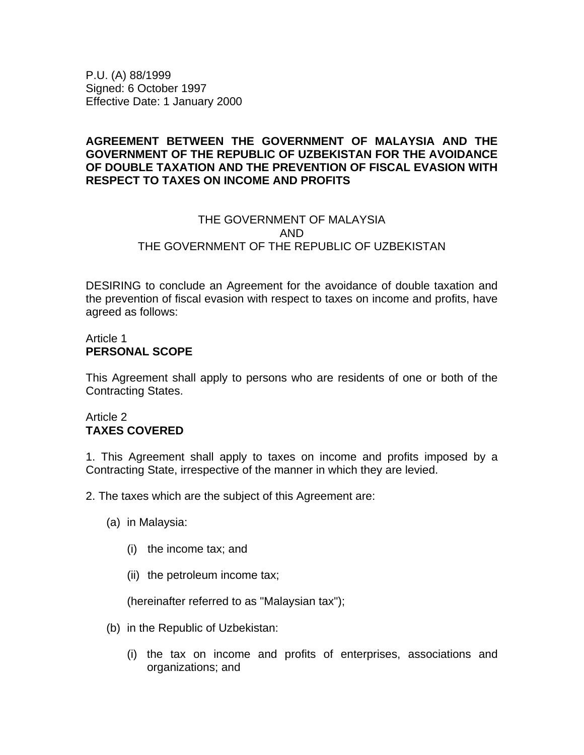P.U. (A) 88/1999 Signed: 6 October 1997 Effective Date: 1 January 2000

#### **AGREEMENT BETWEEN THE GOVERNMENT OF MALAYSIA AND THE GOVERNMENT OF THE REPUBLIC OF UZBEKISTAN FOR THE AVOIDANCE OF DOUBLE TAXATION AND THE PREVENTION OF FISCAL EVASION WITH RESPECT TO TAXES ON INCOME AND PROFITS**

# THE GOVERNMENT OF MALAYSIA AND THE GOVERNMENT OF THE REPUBLIC OF UZBEKISTAN

DESIRING to conclude an Agreement for the avoidance of double taxation and the prevention of fiscal evasion with respect to taxes on income and profits, have agreed as follows:

## Article 1 **PERSONAL SCOPE**

This Agreement shall apply to persons who are residents of one or both of the Contracting States.

## Article 2 **TAXES COVERED**

1. This Agreement shall apply to taxes on income and profits imposed by a Contracting State, irrespective of the manner in which they are levied.

2. The taxes which are the subject of this Agreement are:

- (a) in Malaysia:
	- (i) the income tax; and
	- (ii) the petroleum income tax;

(hereinafter referred to as "Malaysian tax");

- (b) in the Republic of Uzbekistan:
	- (i) the tax on income and profits of enterprises, associations and organizations; and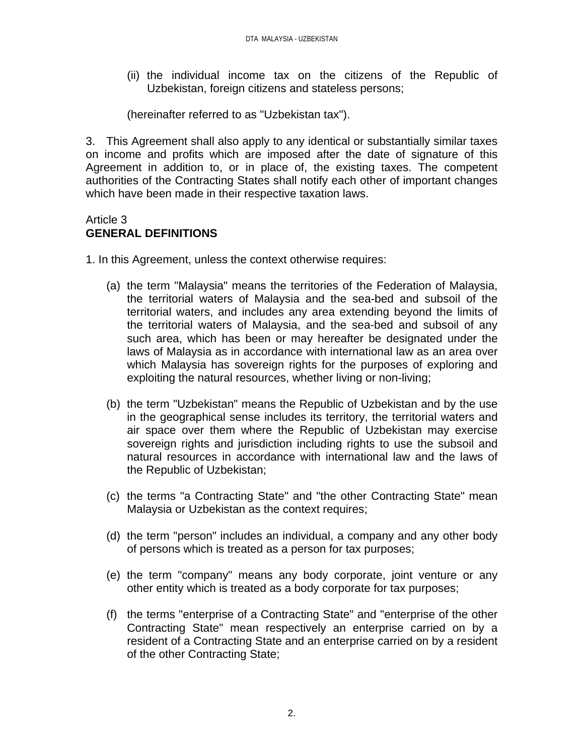(ii) the individual income tax on the citizens of the Republic of Uzbekistan, foreign citizens and stateless persons;

(hereinafter referred to as "Uzbekistan tax").

3. This Agreement shall also apply to any identical or substantially similar taxes on income and profits which are imposed after the date of signature of this Agreement in addition to, or in place of, the existing taxes. The competent authorities of the Contracting States shall notify each other of important changes which have been made in their respective taxation laws.

## Article 3 **GENERAL DEFINITIONS**

1. In this Agreement, unless the context otherwise requires:

- (a) the term "Malaysia" means the territories of the Federation of Malaysia, the territorial waters of Malaysia and the sea-bed and subsoil of the territorial waters, and includes any area extending beyond the limits of the territorial waters of Malaysia, and the sea-bed and subsoil of any such area, which has been or may hereafter be designated under the laws of Malaysia as in accordance with international law as an area over which Malaysia has sovereign rights for the purposes of exploring and exploiting the natural resources, whether living or non-living;
- (b) the term "Uzbekistan" means the Republic of Uzbekistan and by the use in the geographical sense includes its territory, the territorial waters and air space over them where the Republic of Uzbekistan may exercise sovereign rights and jurisdiction including rights to use the subsoil and natural resources in accordance with international law and the laws of the Republic of Uzbekistan;
- (c) the terms "a Contracting State" and "the other Contracting State" mean Malaysia or Uzbekistan as the context requires;
- (d) the term "person" includes an individual, a company and any other body of persons which is treated as a person for tax purposes;
- (e) the term "company" means any body corporate, joint venture or any other entity which is treated as a body corporate for tax purposes;
- (f) the terms "enterprise of a Contracting State" and "enterprise of the other Contracting State" mean respectively an enterprise carried on by a resident of a Contracting State and an enterprise carried on by a resident of the other Contracting State;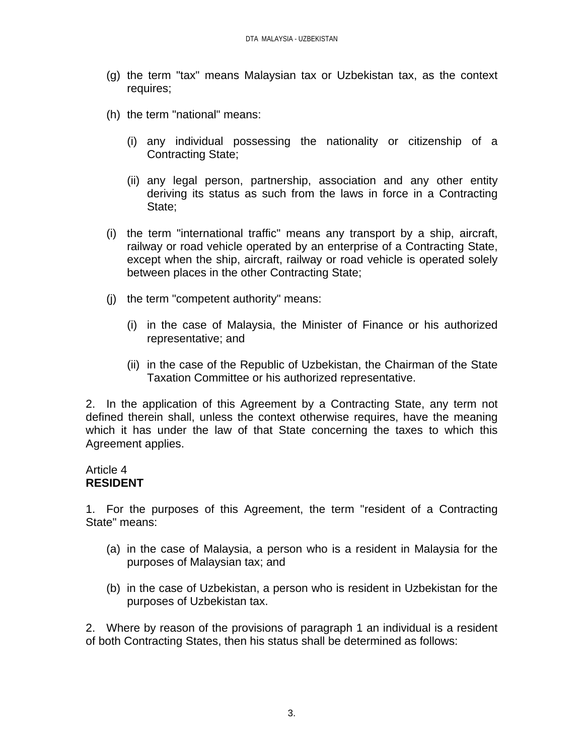- (g) the term "tax" means Malaysian tax or Uzbekistan tax, as the context requires;
- (h) the term "national" means:
	- (i) any individual possessing the nationality or citizenship of a Contracting State;
	- (ii) any legal person, partnership, association and any other entity deriving its status as such from the laws in force in a Contracting State;
- (i) the term "international traffic" means any transport by a ship, aircraft, railway or road vehicle operated by an enterprise of a Contracting State, except when the ship, aircraft, railway or road vehicle is operated solely between places in the other Contracting State;
- (j) the term "competent authority" means:
	- (i) in the case of Malaysia, the Minister of Finance or his authorized representative; and
	- (ii) in the case of the Republic of Uzbekistan, the Chairman of the State Taxation Committee or his authorized representative.

2. In the application of this Agreement by a Contracting State, any term not defined therein shall, unless the context otherwise requires, have the meaning which it has under the law of that State concerning the taxes to which this Agreement applies.

#### Article 4 **RESIDENT**

1. For the purposes of this Agreement, the term "resident of a Contracting State" means:

- (a) in the case of Malaysia, a person who is a resident in Malaysia for the purposes of Malaysian tax; and
- (b) in the case of Uzbekistan, a person who is resident in Uzbekistan for the purposes of Uzbekistan tax.

2. Where by reason of the provisions of paragraph 1 an individual is a resident of both Contracting States, then his status shall be determined as follows: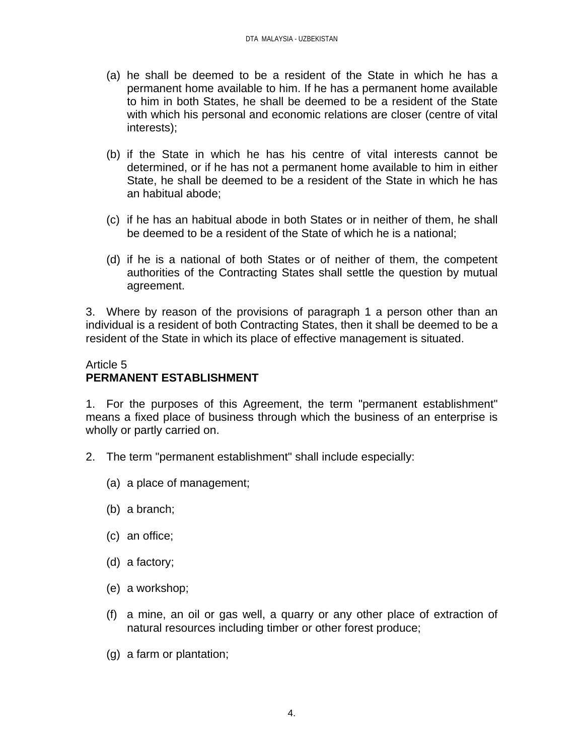- (a) he shall be deemed to be a resident of the State in which he has a permanent home available to him. If he has a permanent home available to him in both States, he shall be deemed to be a resident of the State with which his personal and economic relations are closer (centre of vital interests);
- (b) if the State in which he has his centre of vital interests cannot be determined, or if he has not a permanent home available to him in either State, he shall be deemed to be a resident of the State in which he has an habitual abode;
- (c) if he has an habitual abode in both States or in neither of them, he shall be deemed to be a resident of the State of which he is a national;
- (d) if he is a national of both States or of neither of them, the competent authorities of the Contracting States shall settle the question by mutual agreement.

3. Where by reason of the provisions of paragraph 1 a person other than an individual is a resident of both Contracting States, then it shall be deemed to be a resident of the State in which its place of effective management is situated.

# Article 5 **PERMANENT ESTABLISHMENT**

1. For the purposes of this Agreement, the term "permanent establishment" means a fixed place of business through which the business of an enterprise is wholly or partly carried on.

- 2. The term "permanent establishment" shall include especially:
	- (a) a place of management;
	- (b) a branch;
	- (c) an office;
	- (d) a factory;
	- (e) a workshop;
	- (f) a mine, an oil or gas well, a quarry or any other place of extraction of natural resources including timber or other forest produce;
	- (g) a farm or plantation;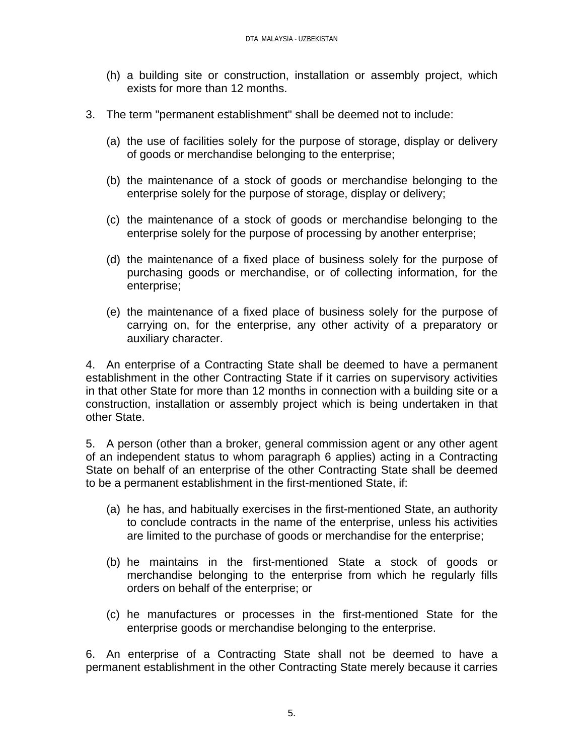- (h) a building site or construction, installation or assembly project, which exists for more than 12 months.
- 3. The term "permanent establishment" shall be deemed not to include:
	- (a) the use of facilities solely for the purpose of storage, display or delivery of goods or merchandise belonging to the enterprise;
	- (b) the maintenance of a stock of goods or merchandise belonging to the enterprise solely for the purpose of storage, display or delivery;
	- (c) the maintenance of a stock of goods or merchandise belonging to the enterprise solely for the purpose of processing by another enterprise;
	- (d) the maintenance of a fixed place of business solely for the purpose of purchasing goods or merchandise, or of collecting information, for the enterprise;
	- (e) the maintenance of a fixed place of business solely for the purpose of carrying on, for the enterprise, any other activity of a preparatory or auxiliary character.

4. An enterprise of a Contracting State shall be deemed to have a permanent establishment in the other Contracting State if it carries on supervisory activities in that other State for more than 12 months in connection with a building site or a construction, installation or assembly project which is being undertaken in that other State.

5. A person (other than a broker, general commission agent or any other agent of an independent status to whom paragraph 6 applies) acting in a Contracting State on behalf of an enterprise of the other Contracting State shall be deemed to be a permanent establishment in the first-mentioned State, if:

- (a) he has, and habitually exercises in the first-mentioned State, an authority to conclude contracts in the name of the enterprise, unless his activities are limited to the purchase of goods or merchandise for the enterprise;
- (b) he maintains in the first-mentioned State a stock of goods or merchandise belonging to the enterprise from which he regularly fills orders on behalf of the enterprise; or
- (c) he manufactures or processes in the first-mentioned State for the enterprise goods or merchandise belonging to the enterprise.

6. An enterprise of a Contracting State shall not be deemed to have a permanent establishment in the other Contracting State merely because it carries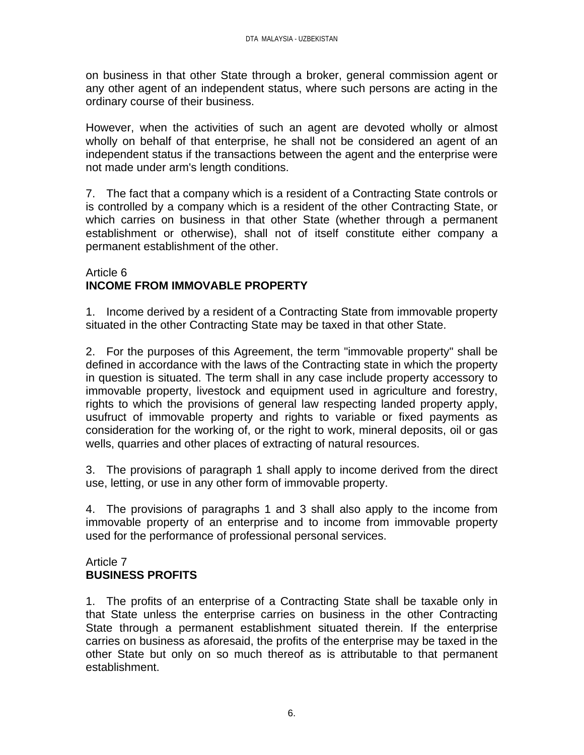on business in that other State through a broker, general commission agent or any other agent of an independent status, where such persons are acting in the ordinary course of their business.

However, when the activities of such an agent are devoted wholly or almost wholly on behalf of that enterprise, he shall not be considered an agent of an independent status if the transactions between the agent and the enterprise were not made under arm's length conditions.

7. The fact that a company which is a resident of a Contracting State controls or is controlled by a company which is a resident of the other Contracting State, or which carries on business in that other State (whether through a permanent establishment or otherwise), shall not of itself constitute either company a permanent establishment of the other.

#### Article 6 **INCOME FROM IMMOVABLE PROPERTY**

1. Income derived by a resident of a Contracting State from immovable property situated in the other Contracting State may be taxed in that other State.

2. For the purposes of this Agreement, the term "immovable property" shall be defined in accordance with the laws of the Contracting state in which the property in question is situated. The term shall in any case include property accessory to immovable property, livestock and equipment used in agriculture and forestry, rights to which the provisions of general law respecting landed property apply, usufruct of immovable property and rights to variable or fixed payments as consideration for the working of, or the right to work, mineral deposits, oil or gas wells, quarries and other places of extracting of natural resources.

3. The provisions of paragraph 1 shall apply to income derived from the direct use, letting, or use in any other form of immovable property.

4. The provisions of paragraphs 1 and 3 shall also apply to the income from immovable property of an enterprise and to income from immovable property used for the performance of professional personal services.

## Article 7 **BUSINESS PROFITS**

1. The profits of an enterprise of a Contracting State shall be taxable only in that State unless the enterprise carries on business in the other Contracting State through a permanent establishment situated therein. If the enterprise carries on business as aforesaid, the profits of the enterprise may be taxed in the other State but only on so much thereof as is attributable to that permanent establishment.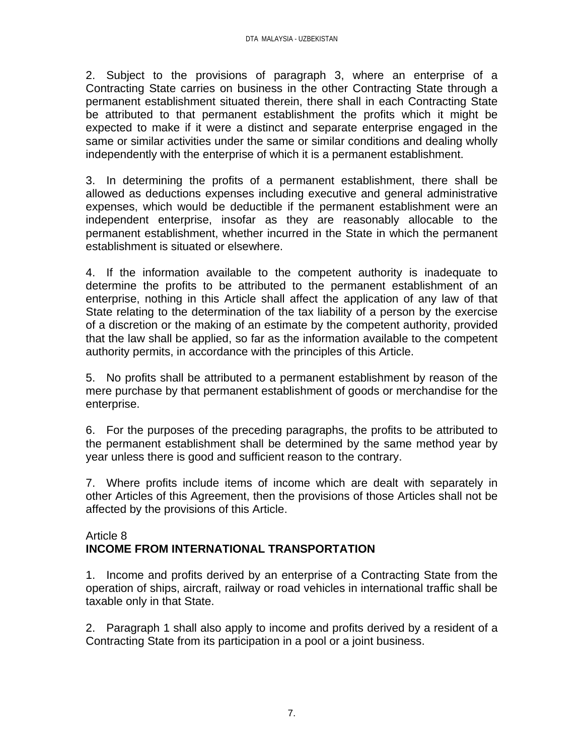2. Subject to the provisions of paragraph 3, where an enterprise of a Contracting State carries on business in the other Contracting State through a permanent establishment situated therein, there shall in each Contracting State be attributed to that permanent establishment the profits which it might be expected to make if it were a distinct and separate enterprise engaged in the same or similar activities under the same or similar conditions and dealing wholly independently with the enterprise of which it is a permanent establishment.

3. In determining the profits of a permanent establishment, there shall be allowed as deductions expenses including executive and general administrative expenses, which would be deductible if the permanent establishment were an independent enterprise, insofar as they are reasonably allocable to the permanent establishment, whether incurred in the State in which the permanent establishment is situated or elsewhere.

4. If the information available to the competent authority is inadequate to determine the profits to be attributed to the permanent establishment of an enterprise, nothing in this Article shall affect the application of any law of that State relating to the determination of the tax liability of a person by the exercise of a discretion or the making of an estimate by the competent authority, provided that the law shall be applied, so far as the information available to the competent authority permits, in accordance with the principles of this Article.

5. No profits shall be attributed to a permanent establishment by reason of the mere purchase by that permanent establishment of goods or merchandise for the enterprise.

6. For the purposes of the preceding paragraphs, the profits to be attributed to the permanent establishment shall be determined by the same method year by year unless there is good and sufficient reason to the contrary.

7. Where profits include items of income which are dealt with separately in other Articles of this Agreement, then the provisions of those Articles shall not be affected by the provisions of this Article.

#### Article 8 **INCOME FROM INTERNATIONAL TRANSPORTATION**

1. Income and profits derived by an enterprise of a Contracting State from the operation of ships, aircraft, railway or road vehicles in international traffic shall be taxable only in that State.

2. Paragraph 1 shall also apply to income and profits derived by a resident of a Contracting State from its participation in a pool or a joint business.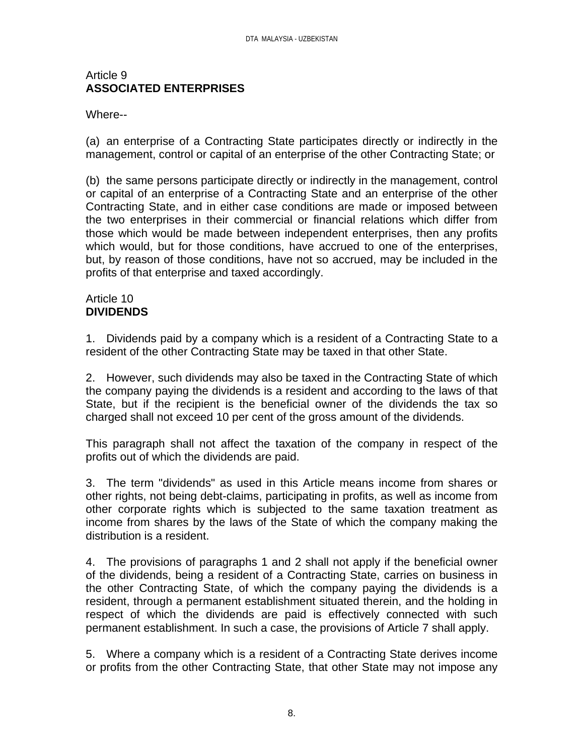#### Article 9 **ASSOCIATED ENTERPRISES**

#### Where--

(a) an enterprise of a Contracting State participates directly or indirectly in the management, control or capital of an enterprise of the other Contracting State; or

(b) the same persons participate directly or indirectly in the management, control or capital of an enterprise of a Contracting State and an enterprise of the other Contracting State, and in either case conditions are made or imposed between the two enterprises in their commercial or financial relations which differ from those which would be made between independent enterprises, then any profits which would, but for those conditions, have accrued to one of the enterprises, but, by reason of those conditions, have not so accrued, may be included in the profits of that enterprise and taxed accordingly.

#### Article 10 **DIVIDENDS**

1. Dividends paid by a company which is a resident of a Contracting State to a resident of the other Contracting State may be taxed in that other State.

2. However, such dividends may also be taxed in the Contracting State of which the company paying the dividends is a resident and according to the laws of that State, but if the recipient is the beneficial owner of the dividends the tax so charged shall not exceed 10 per cent of the gross amount of the dividends.

This paragraph shall not affect the taxation of the company in respect of the profits out of which the dividends are paid.

3. The term "dividends" as used in this Article means income from shares or other rights, not being debt-claims, participating in profits, as well as income from other corporate rights which is subjected to the same taxation treatment as income from shares by the laws of the State of which the company making the distribution is a resident.

4. The provisions of paragraphs 1 and 2 shall not apply if the beneficial owner of the dividends, being a resident of a Contracting State, carries on business in the other Contracting State, of which the company paying the dividends is a resident, through a permanent establishment situated therein, and the holding in respect of which the dividends are paid is effectively connected with such permanent establishment. In such a case, the provisions of Article 7 shall apply.

5. Where a company which is a resident of a Contracting State derives income or profits from the other Contracting State, that other State may not impose any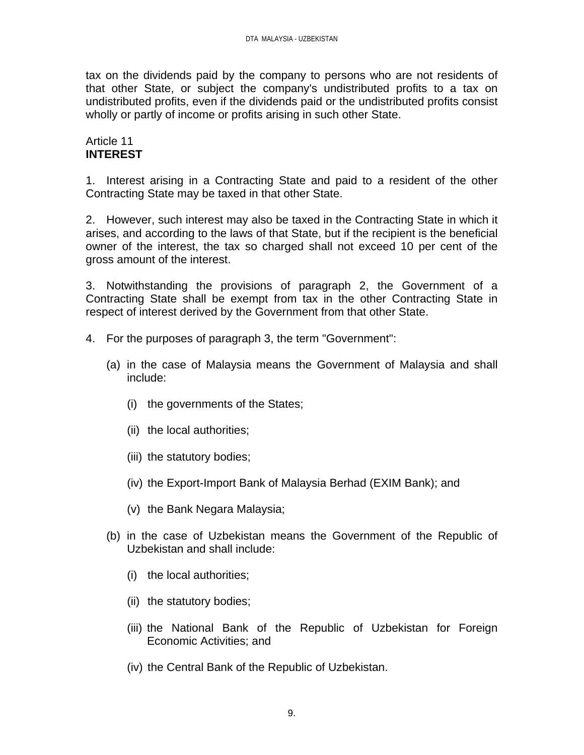tax on the dividends paid by the company to persons who are not residents of that other State, or subject the company's undistributed profits to a tax on undistributed profits, even if the dividends paid or the undistributed profits consist wholly or partly of income or profits arising in such other State.

#### Article 11 **INTEREST**

1. Interest arising in a Contracting State and paid to a resident of the other Contracting State may be taxed in that other State.

2. However, such interest may also be taxed in the Contracting State in which it arises, and according to the laws of that State, but if the recipient is the beneficial owner of the interest, the tax so charged shall not exceed 10 per cent of the gross amount of the interest.

3. Notwithstanding the provisions of paragraph 2, the Government of a Contracting State shall be exempt from tax in the other Contracting State in respect of interest derived by the Government from that other State.

- 4. For the purposes of paragraph 3, the term "Government":
	- (a) in the case of Malaysia means the Government of Malaysia and shall include:
		- (i) the governments of the States;
		- (ii) the local authorities;
		- (iii) the statutory bodies;
		- (iv) the Export-Import Bank of Malaysia Berhad (EXIM Bank); and
		- (v) the Bank Negara Malaysia;
	- (b) in the case of Uzbekistan means the Government of the Republic of Uzbekistan and shall include:
		- (i) the local authorities;
		- (ii) the statutory bodies;
		- (iii) the National Bank of the Republic of Uzbekistan for Foreign Economic Activities; and
		- (iv) the Central Bank of the Republic of Uzbekistan.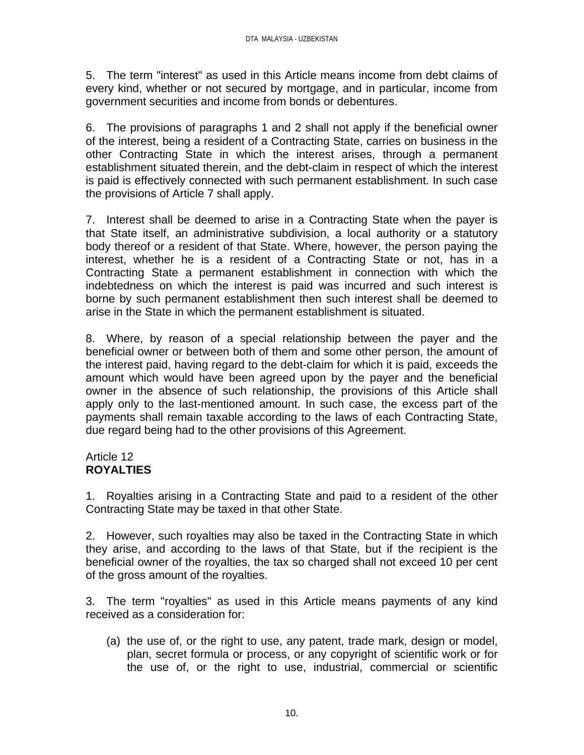5. The term "interest" as used in this Article means income from debt claims of every kind, whether or not secured by mortgage, and in particular, income from government securities and income from bonds or debentures.

6. The provisions of paragraphs 1 and 2 shall not apply if the beneficial owner of the interest, being a resident of a Contracting State, carries on business in the other Contracting State in which the interest arises, through a permanent establishment situated therein, and the debt-claim in respect of which the interest is paid is effectively connected with such permanent establishment. In such case the provisions of Article 7 shall apply.

7. Interest shall be deemed to arise in a Contracting State when the payer is that State itself, an administrative subdivision, a local authority or a statutory body thereof or a resident of that State. Where, however, the person paying the interest, whether he is a resident of a Contracting State or not, has in a Contracting State a permanent establishment in connection with which the indebtedness on which the interest is paid was incurred and such interest is borne by such permanent establishment then such interest shall be deemed to arise in the State in which the permanent establishment is situated.

8. Where, by reason of a special relationship between the payer and the beneficial owner or between both of them and some other person, the amount of the interest paid, having regard to the debt-claim for which it is paid, exceeds the amount which would have been agreed upon by the payer and the beneficial owner in the absence of such relationship, the provisions of this Article shall apply only to the last-mentioned amount. In such case, the excess part of the payments shall remain taxable according to the laws of each Contracting State, due regard being had to the other provisions of this Agreement.

# Article 12 **ROYALTIES**

1. Royalties arising in a Contracting State and paid to a resident of the other Contracting State may be taxed in that other State.

2. However, such royalties may also be taxed in the Contracting State in which they arise, and according to the laws of that State, but if the recipient is the beneficial owner of the royalties, the tax so charged shall not exceed 10 per cent of the gross amount of the royalties.

3. The term "royalties" as used in this Article means payments of any kind received as a consideration for:

(a) the use of, or the right to use, any patent, trade mark, design or model, plan, secret formula or process, or any copyright of scientific work or for the use of, or the right to use, industrial, commercial or scientific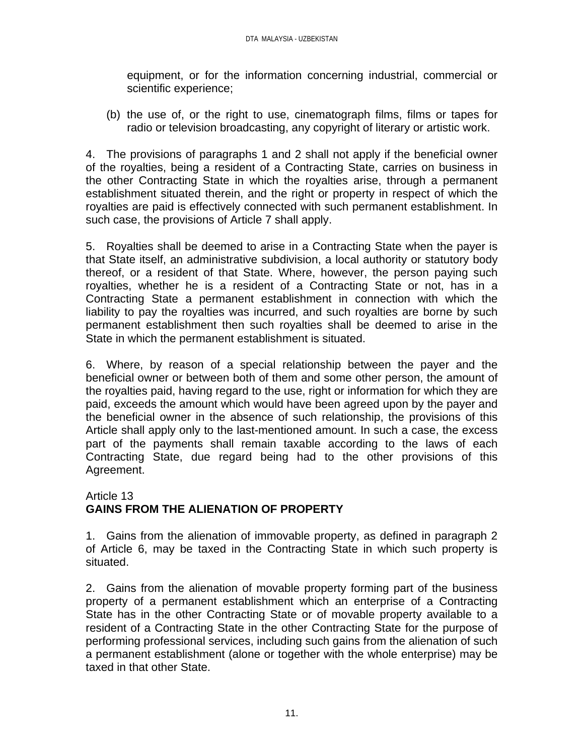equipment, or for the information concerning industrial, commercial or scientific experience;

(b) the use of, or the right to use, cinematograph films, films or tapes for radio or television broadcasting, any copyright of literary or artistic work.

4. The provisions of paragraphs 1 and 2 shall not apply if the beneficial owner of the royalties, being a resident of a Contracting State, carries on business in the other Contracting State in which the royalties arise, through a permanent establishment situated therein, and the right or property in respect of which the royalties are paid is effectively connected with such permanent establishment. In such case, the provisions of Article 7 shall apply.

5. Royalties shall be deemed to arise in a Contracting State when the payer is that State itself, an administrative subdivision, a local authority or statutory body thereof, or a resident of that State. Where, however, the person paying such royalties, whether he is a resident of a Contracting State or not, has in a Contracting State a permanent establishment in connection with which the liability to pay the royalties was incurred, and such royalties are borne by such permanent establishment then such royalties shall be deemed to arise in the State in which the permanent establishment is situated.

6. Where, by reason of a special relationship between the payer and the beneficial owner or between both of them and some other person, the amount of the royalties paid, having regard to the use, right or information for which they are paid, exceeds the amount which would have been agreed upon by the payer and the beneficial owner in the absence of such relationship, the provisions of this Article shall apply only to the last-mentioned amount. In such a case, the excess part of the payments shall remain taxable according to the laws of each Contracting State, due regard being had to the other provisions of this Agreement.

## Article 13 **GAINS FROM THE ALIENATION OF PROPERTY**

1. Gains from the alienation of immovable property, as defined in paragraph 2 of Article 6, may be taxed in the Contracting State in which such property is situated.

2. Gains from the alienation of movable property forming part of the business property of a permanent establishment which an enterprise of a Contracting State has in the other Contracting State or of movable property available to a resident of a Contracting State in the other Contracting State for the purpose of performing professional services, including such gains from the alienation of such a permanent establishment (alone or together with the whole enterprise) may be taxed in that other State.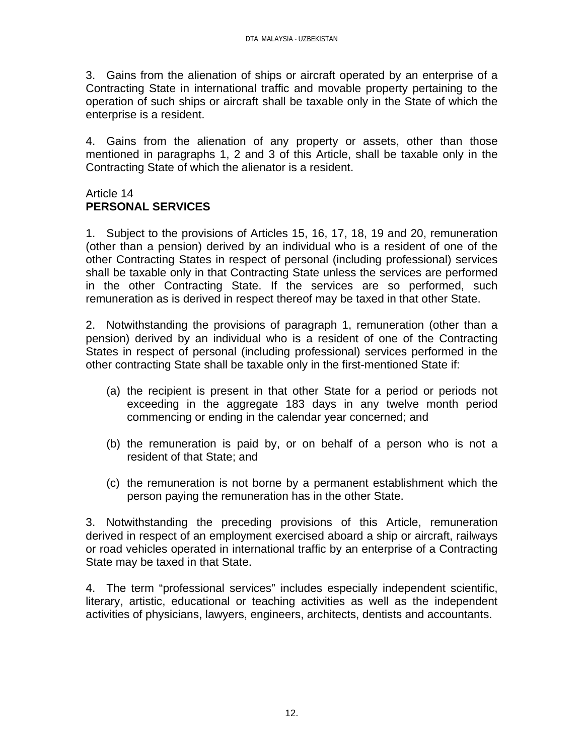3. Gains from the alienation of ships or aircraft operated by an enterprise of a Contracting State in international traffic and movable property pertaining to the operation of such ships or aircraft shall be taxable only in the State of which the enterprise is a resident.

4. Gains from the alienation of any property or assets, other than those mentioned in paragraphs 1, 2 and 3 of this Article, shall be taxable only in the Contracting State of which the alienator is a resident.

#### Article 14 **PERSONAL SERVICES**

1. Subject to the provisions of Articles 15, 16, 17, 18, 19 and 20, remuneration (other than a pension) derived by an individual who is a resident of one of the other Contracting States in respect of personal (including professional) services shall be taxable only in that Contracting State unless the services are performed in the other Contracting State. If the services are so performed, such remuneration as is derived in respect thereof may be taxed in that other State.

2. Notwithstanding the provisions of paragraph 1, remuneration (other than a pension) derived by an individual who is a resident of one of the Contracting States in respect of personal (including professional) services performed in the other contracting State shall be taxable only in the first-mentioned State if:

- (a) the recipient is present in that other State for a period or periods not exceeding in the aggregate 183 days in any twelve month period commencing or ending in the calendar year concerned; and
- (b) the remuneration is paid by, or on behalf of a person who is not a resident of that State; and
- (c) the remuneration is not borne by a permanent establishment which the person paying the remuneration has in the other State.

3. Notwithstanding the preceding provisions of this Article, remuneration derived in respect of an employment exercised aboard a ship or aircraft, railways or road vehicles operated in international traffic by an enterprise of a Contracting State may be taxed in that State.

4. The term "professional services" includes especially independent scientific, literary, artistic, educational or teaching activities as well as the independent activities of physicians, lawyers, engineers, architects, dentists and accountants.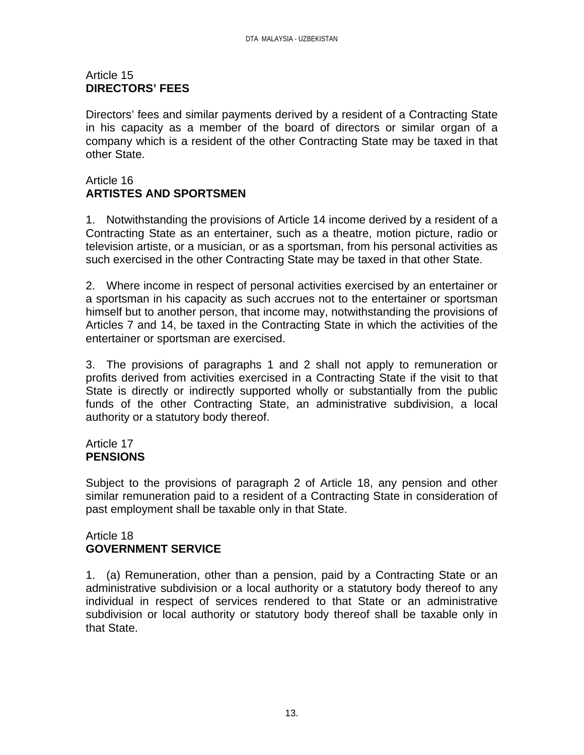#### Article 15 **DIRECTORS' FEES**

Directors' fees and similar payments derived by a resident of a Contracting State in his capacity as a member of the board of directors or similar organ of a company which is a resident of the other Contracting State may be taxed in that other State.

# Article 16 **ARTISTES AND SPORTSMEN**

1. Notwithstanding the provisions of Article 14 income derived by a resident of a Contracting State as an entertainer, such as a theatre, motion picture, radio or television artiste, or a musician, or as a sportsman, from his personal activities as such exercised in the other Contracting State may be taxed in that other State.

2. Where income in respect of personal activities exercised by an entertainer or a sportsman in his capacity as such accrues not to the entertainer or sportsman himself but to another person, that income may, notwithstanding the provisions of Articles 7 and 14, be taxed in the Contracting State in which the activities of the entertainer or sportsman are exercised.

3. The provisions of paragraphs 1 and 2 shall not apply to remuneration or profits derived from activities exercised in a Contracting State if the visit to that State is directly or indirectly supported wholly or substantially from the public funds of the other Contracting State, an administrative subdivision, a local authority or a statutory body thereof.

#### Article 17 **PENSIONS**

Subject to the provisions of paragraph 2 of Article 18, any pension and other similar remuneration paid to a resident of a Contracting State in consideration of past employment shall be taxable only in that State.

#### Article 18 **GOVERNMENT SERVICE**

1. (a) Remuneration, other than a pension, paid by a Contracting State or an administrative subdivision or a local authority or a statutory body thereof to any individual in respect of services rendered to that State or an administrative subdivision or local authority or statutory body thereof shall be taxable only in that State.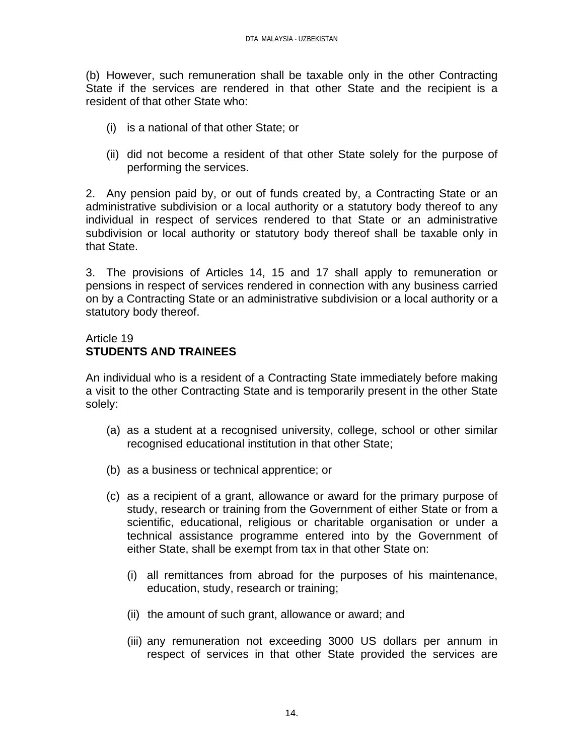(b) However, such remuneration shall be taxable only in the other Contracting State if the services are rendered in that other State and the recipient is a resident of that other State who:

- (i) is a national of that other State; or
- (ii) did not become a resident of that other State solely for the purpose of performing the services.

2. Any pension paid by, or out of funds created by, a Contracting State or an administrative subdivision or a local authority or a statutory body thereof to any individual in respect of services rendered to that State or an administrative subdivision or local authority or statutory body thereof shall be taxable only in that State.

3. The provisions of Articles 14, 15 and 17 shall apply to remuneration or pensions in respect of services rendered in connection with any business carried on by a Contracting State or an administrative subdivision or a local authority or a statutory body thereof.

# Article 19 **STUDENTS AND TRAINEES**

An individual who is a resident of a Contracting State immediately before making a visit to the other Contracting State and is temporarily present in the other State solely:

- (a) as a student at a recognised university, college, school or other similar recognised educational institution in that other State;
- (b) as a business or technical apprentice; or
- (c) as a recipient of a grant, allowance or award for the primary purpose of study, research or training from the Government of either State or from a scientific, educational, religious or charitable organisation or under a technical assistance programme entered into by the Government of either State, shall be exempt from tax in that other State on:
	- (i) all remittances from abroad for the purposes of his maintenance, education, study, research or training;
	- (ii) the amount of such grant, allowance or award; and
	- (iii) any remuneration not exceeding 3000 US dollars per annum in respect of services in that other State provided the services are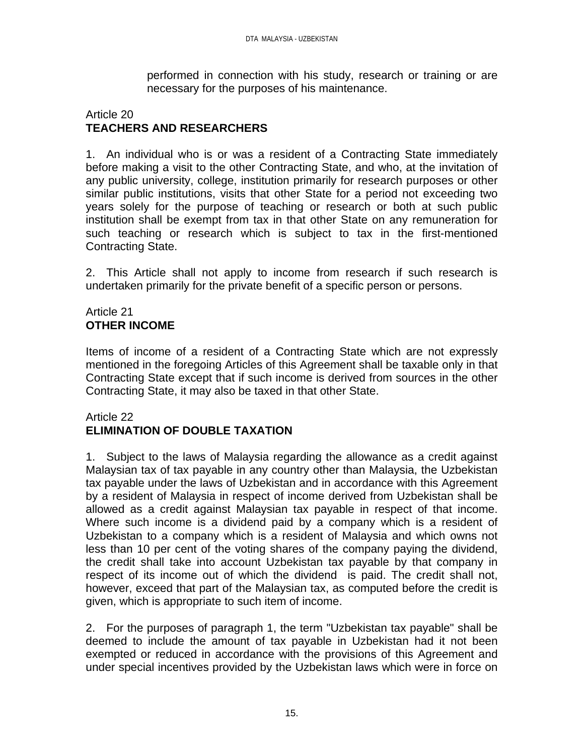performed in connection with his study, research or training or are necessary for the purposes of his maintenance.

#### Article 20 **TEACHERS AND RESEARCHERS**

1. An individual who is or was a resident of a Contracting State immediately before making a visit to the other Contracting State, and who, at the invitation of any public university, college, institution primarily for research purposes or other similar public institutions, visits that other State for a period not exceeding two years solely for the purpose of teaching or research or both at such public institution shall be exempt from tax in that other State on any remuneration for such teaching or research which is subject to tax in the first-mentioned Contracting State.

2. This Article shall not apply to income from research if such research is undertaken primarily for the private benefit of a specific person or persons.

# Article 21 **OTHER INCOME**

Items of income of a resident of a Contracting State which are not expressly mentioned in the foregoing Articles of this Agreement shall be taxable only in that Contracting State except that if such income is derived from sources in the other Contracting State, it may also be taxed in that other State.

# Article 22 **ELIMINATION OF DOUBLE TAXATION**

1. Subject to the laws of Malaysia regarding the allowance as a credit against Malaysian tax of tax payable in any country other than Malaysia, the Uzbekistan tax payable under the laws of Uzbekistan and in accordance with this Agreement by a resident of Malaysia in respect of income derived from Uzbekistan shall be allowed as a credit against Malaysian tax payable in respect of that income. Where such income is a dividend paid by a company which is a resident of Uzbekistan to a company which is a resident of Malaysia and which owns not less than 10 per cent of the voting shares of the company paying the dividend, the credit shall take into account Uzbekistan tax payable by that company in respect of its income out of which the dividend is paid. The credit shall not, however, exceed that part of the Malaysian tax, as computed before the credit is given, which is appropriate to such item of income.

2. For the purposes of paragraph 1, the term "Uzbekistan tax payable" shall be deemed to include the amount of tax payable in Uzbekistan had it not been exempted or reduced in accordance with the provisions of this Agreement and under special incentives provided by the Uzbekistan laws which were in force on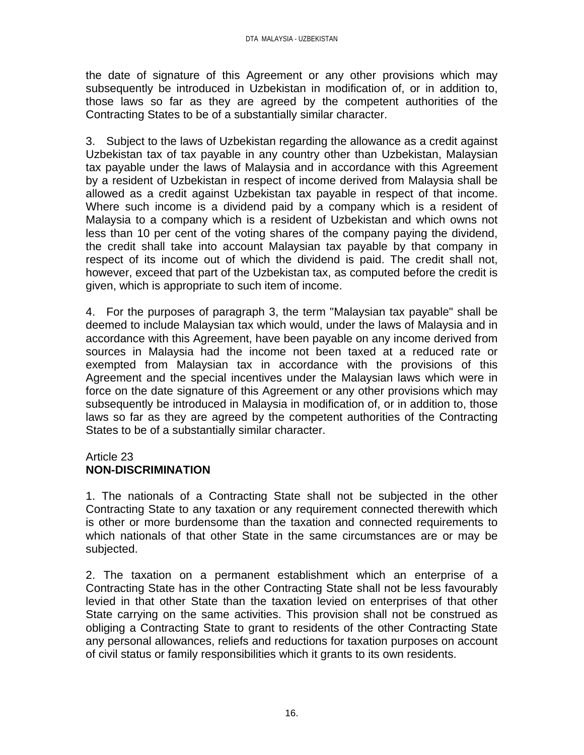the date of signature of this Agreement or any other provisions which may subsequently be introduced in Uzbekistan in modification of, or in addition to, those laws so far as they are agreed by the competent authorities of the Contracting States to be of a substantially similar character.

3. Subject to the laws of Uzbekistan regarding the allowance as a credit against Uzbekistan tax of tax payable in any country other than Uzbekistan, Malaysian tax payable under the laws of Malaysia and in accordance with this Agreement by a resident of Uzbekistan in respect of income derived from Malaysia shall be allowed as a credit against Uzbekistan tax payable in respect of that income. Where such income is a dividend paid by a company which is a resident of Malaysia to a company which is a resident of Uzbekistan and which owns not less than 10 per cent of the voting shares of the company paying the dividend, the credit shall take into account Malaysian tax payable by that company in respect of its income out of which the dividend is paid. The credit shall not, however, exceed that part of the Uzbekistan tax, as computed before the credit is given, which is appropriate to such item of income.

4. For the purposes of paragraph 3, the term "Malaysian tax payable" shall be deemed to include Malaysian tax which would, under the laws of Malaysia and in accordance with this Agreement, have been payable on any income derived from sources in Malaysia had the income not been taxed at a reduced rate or exempted from Malaysian tax in accordance with the provisions of this Agreement and the special incentives under the Malaysian laws which were in force on the date signature of this Agreement or any other provisions which may subsequently be introduced in Malaysia in modification of, or in addition to, those laws so far as they are agreed by the competent authorities of the Contracting States to be of a substantially similar character.

# Article 23

# **NON-DISCRIMINATION**

1. The nationals of a Contracting State shall not be subjected in the other Contracting State to any taxation or any requirement connected therewith which is other or more burdensome than the taxation and connected requirements to which nationals of that other State in the same circumstances are or may be subjected.

2. The taxation on a permanent establishment which an enterprise of a Contracting State has in the other Contracting State shall not be less favourably levied in that other State than the taxation levied on enterprises of that other State carrying on the same activities. This provision shall not be construed as obliging a Contracting State to grant to residents of the other Contracting State any personal allowances, reliefs and reductions for taxation purposes on account of civil status or family responsibilities which it grants to its own residents.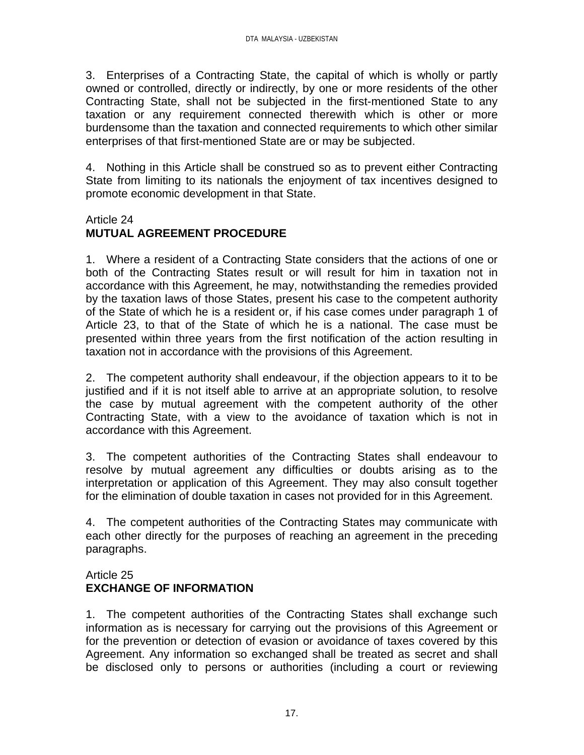3. Enterprises of a Contracting State, the capital of which is wholly or partly owned or controlled, directly or indirectly, by one or more residents of the other Contracting State, shall not be subjected in the first-mentioned State to any taxation or any requirement connected therewith which is other or more burdensome than the taxation and connected requirements to which other similar enterprises of that first-mentioned State are or may be subjected.

4. Nothing in this Article shall be construed so as to prevent either Contracting State from limiting to its nationals the enjoyment of tax incentives designed to promote economic development in that State.

## Article 24

# **MUTUAL AGREEMENT PROCEDURE**

1. Where a resident of a Contracting State considers that the actions of one or both of the Contracting States result or will result for him in taxation not in accordance with this Agreement, he may, notwithstanding the remedies provided by the taxation laws of those States, present his case to the competent authority of the State of which he is a resident or, if his case comes under paragraph 1 of Article 23, to that of the State of which he is a national. The case must be presented within three years from the first notification of the action resulting in taxation not in accordance with the provisions of this Agreement.

2. The competent authority shall endeavour, if the objection appears to it to be justified and if it is not itself able to arrive at an appropriate solution, to resolve the case by mutual agreement with the competent authority of the other Contracting State, with a view to the avoidance of taxation which is not in accordance with this Agreement.

3. The competent authorities of the Contracting States shall endeavour to resolve by mutual agreement any difficulties or doubts arising as to the interpretation or application of this Agreement. They may also consult together for the elimination of double taxation in cases not provided for in this Agreement.

4. The competent authorities of the Contracting States may communicate with each other directly for the purposes of reaching an agreement in the preceding paragraphs.

## Article 25 **EXCHANGE OF INFORMATION**

1. The competent authorities of the Contracting States shall exchange such information as is necessary for carrying out the provisions of this Agreement or for the prevention or detection of evasion or avoidance of taxes covered by this Agreement. Any information so exchanged shall be treated as secret and shall be disclosed only to persons or authorities (including a court or reviewing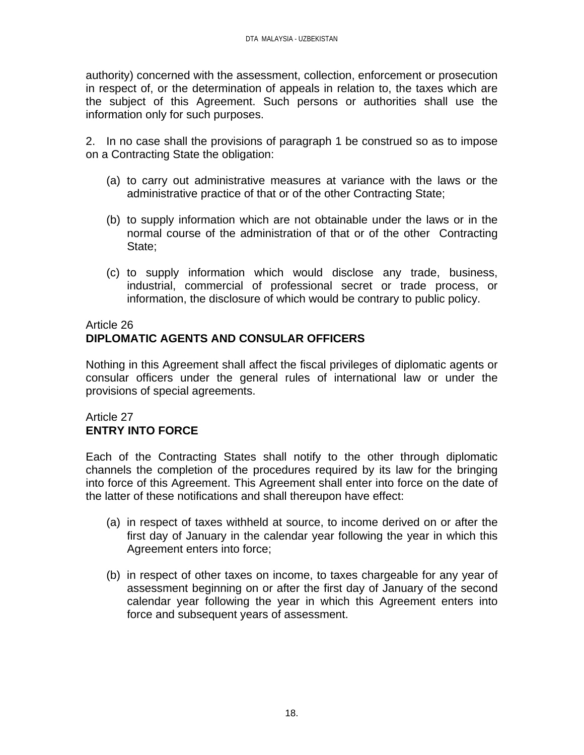authority) concerned with the assessment, collection, enforcement or prosecution in respect of, or the determination of appeals in relation to, the taxes which are the subject of this Agreement. Such persons or authorities shall use the information only for such purposes.

2. In no case shall the provisions of paragraph 1 be construed so as to impose on a Contracting State the obligation:

- (a) to carry out administrative measures at variance with the laws or the administrative practice of that or of the other Contracting State;
- (b) to supply information which are not obtainable under the laws or in the normal course of the administration of that or of the other Contracting State;
- (c) to supply information which would disclose any trade, business, industrial, commercial of professional secret or trade process, or information, the disclosure of which would be contrary to public policy.

# Article 26 **DIPLOMATIC AGENTS AND CONSULAR OFFICERS**

Nothing in this Agreement shall affect the fiscal privileges of diplomatic agents or consular officers under the general rules of international law or under the provisions of special agreements.

# Article 27 **ENTRY INTO FORCE**

Each of the Contracting States shall notify to the other through diplomatic channels the completion of the procedures required by its law for the bringing into force of this Agreement. This Agreement shall enter into force on the date of the latter of these notifications and shall thereupon have effect:

- (a) in respect of taxes withheld at source, to income derived on or after the first day of January in the calendar year following the year in which this Agreement enters into force;
- (b) in respect of other taxes on income, to taxes chargeable for any year of assessment beginning on or after the first day of January of the second calendar year following the year in which this Agreement enters into force and subsequent years of assessment.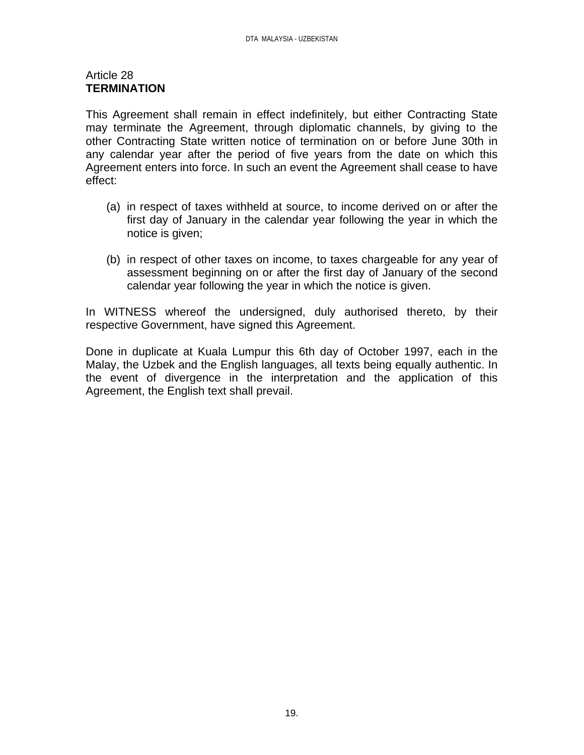#### Article 28 **TERMINATION**

This Agreement shall remain in effect indefinitely, but either Contracting State may terminate the Agreement, through diplomatic channels, by giving to the other Contracting State written notice of termination on or before June 30th in any calendar year after the period of five years from the date on which this Agreement enters into force. In such an event the Agreement shall cease to have effect:

- (a) in respect of taxes withheld at source, to income derived on or after the first day of January in the calendar year following the year in which the notice is given;
- (b) in respect of other taxes on income, to taxes chargeable for any year of assessment beginning on or after the first day of January of the second calendar year following the year in which the notice is given.

In WITNESS whereof the undersigned, duly authorised thereto, by their respective Government, have signed this Agreement.

Done in duplicate at Kuala Lumpur this 6th day of October 1997, each in the Malay, the Uzbek and the English languages, all texts being equally authentic. In the event of divergence in the interpretation and the application of this Agreement, the English text shall prevail.